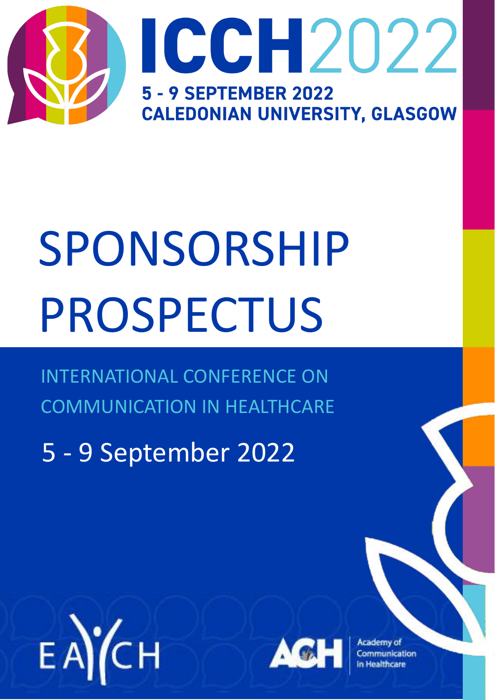

# SPONSORSHIP PROSPECTUS

INTERNATIONAL CONFERENCE ON COMMUNICATION IN HEALTHCARE

5 - 9 September 2022





Academy of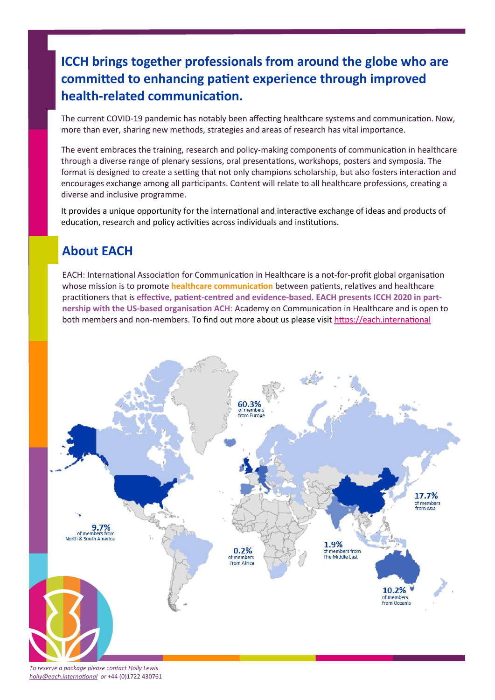#### **ICCH brings together professionals from around the globe who are committed to enhancing patient experience through improved health-related communication.**

The current COVID-19 pandemic has notably been affecting healthcare systems and communication. Now, more than ever, sharing new methods, strategies and areas of research has vital importance.

The event embraces the training, research and policy-making components of communication in healthcare through a diverse range of plenary sessions, oral presentations, workshops, posters and symposia. The format is designed to create a setting that not only champions scholarship, but also fosters interaction and encourages exchange among all participants. Content will relate to all healthcare professions, creating a diverse and inclusive programme.

It provides a unique opportunity for the international and interactive exchange of ideas and products of education, research and policy activities across individuals and institutions.

#### **About EACH**

EACH: International Association for Communication in Healthcare is a not-for-profit global organisation whose mission is to promote **healthcare communication** between patients, relatives and healthcare practitioners that is **effective, patient-centred and evidence-based. EACH presents ICCH 2020 in partnership with the US-based organisation ACH**: Academy on Communication in Healthcare and is open to both members and non-members. To find out more about us please visit <https://each.international>



*To reserve a package please contact Holly Lewis [holly@each.international](mailto:holly@each.international) or* +44 (0)1722 430761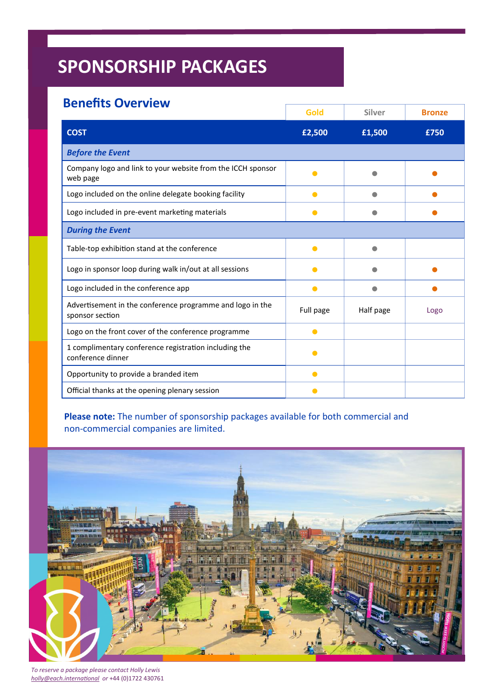#### **Benefits Overview**

|                                                                              | Gold      | Silver    | <b>Bronze</b> |
|------------------------------------------------------------------------------|-----------|-----------|---------------|
| <b>COST</b>                                                                  | £2,500    | £1,500    | £750          |
| <b>Before the Event</b>                                                      |           |           |               |
| Company logo and link to your website from the ICCH sponsor<br>web page      |           |           |               |
| Logo included on the online delegate booking facility                        | Ο         |           |               |
| Logo included in pre-event marketing materials                               | Δ         |           |               |
| <b>During the Event</b>                                                      |           |           |               |
| Table-top exhibition stand at the conference                                 |           |           |               |
| Logo in sponsor loop during walk in/out at all sessions                      |           |           |               |
| Logo included in the conference app                                          | Δ         |           |               |
| Advertisement in the conference programme and logo in the<br>sponsor section | Full page | Half page | Logo          |
| Logo on the front cover of the conference programme                          |           |           |               |
| 1 complimentary conference registration including the<br>conference dinner   | ●         |           |               |
| Opportunity to provide a branded item                                        | $\bullet$ |           |               |
| Official thanks at the opening plenary session                               |           |           |               |

**Please note:** The number of sponsorship packages available for both commercial and non-commercial companies are limited.



*To reserve a package please contact Holly Lewis [holly@each.international](mailto:holly@each.international) or* +44 (0)1722 430761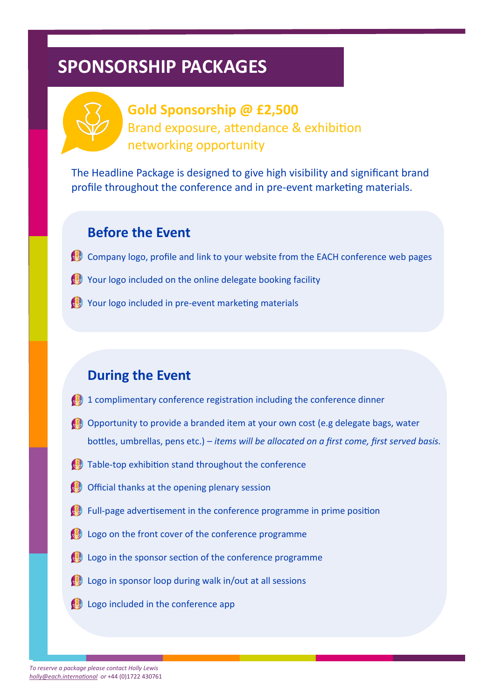

## **Gold Sponsorship @ £2,500** Brand exposure, attendance & exhibition networking opportunity

The Headline Package is designed to give high visibility and significant brand profile throughout the conference and in pre-event marketing materials.

#### **Before the Event**

- Company logo, profile and link to your website from the EACH conference web pages
- $\mathbb{C}$  Your logo included on the online delegate booking facility
- Your logo included in pre-event marketing materials

## **During the Event**

- 1 complimentary conference registration including the conference dinner
- **C** Opportunity to provide a branded item at your own cost (e.g delegate bags, water bottles, umbrellas, pens etc.) *– items will be allocated on a first come, first served basis.*
- $\bullet$  Table-top exhibition stand throughout the conference
- Official thanks at the opening plenary session
- $\heartsuit$  Full-page advertisement in the conference programme in prime position
- **E** Logo on the front cover of the conference programme
- $\mathbb{C}$  Logo in the sponsor section of the conference programme
- $\heartsuit$  Logo in sponsor loop during walk in/out at all sessions
- **B** Logo included in the conference app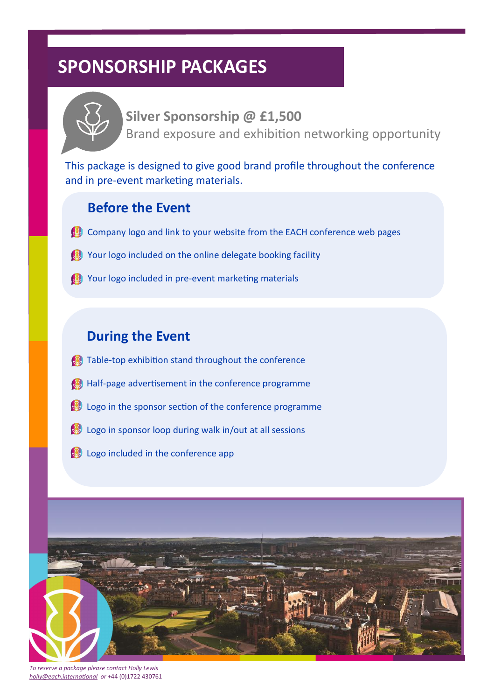

**Silver Sponsorship @ £1,500** Brand exposure and exhibition networking opportunity

This package is designed to give good brand profile throughout the conference and in pre-event marketing materials.

#### **Before the Event**

- $\heartsuit$  Company logo and link to your website from the EACH conference web pages
- Your logo included on the online delegate booking facility
- Your logo included in pre-event marketing materials

#### **During the Event**

- $\bullet$  Table-top exhibition stand throughout the conference
- Half-page advertisement in the conference programme  $\mathbf{B}$
- Logo in the sponsor section of the conference programme
- $\mathbb{R}$  Logo in sponsor loop during walk in/out at all sessions
- **Logo included in the conference app**



*To reserve a package please contact Holly Lewis [holly@each.international](mailto:holly@each.international) or* +44 (0)1722 430761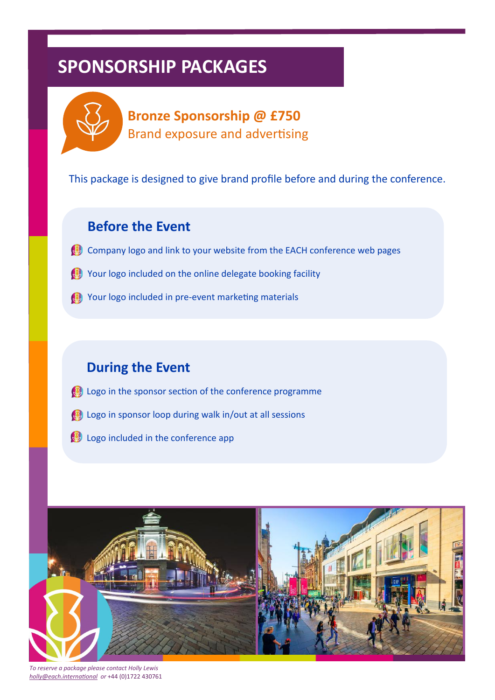

**Bronze Sponsorship @ £750** Brand exposure and advertising

This package is designed to give brand profile before and during the conference.

#### **Before the Event**

- Company logo and link to your website from the EACH conference web pages
- Your logo included on the online delegate booking facility
- Your logo included in pre-event marketing materials

## **During the Event**

- **B** Logo in the sponsor section of the conference programme
- **B** Logo in sponsor loop during walk in/out at all sessions
- **B** Logo included in the conference app